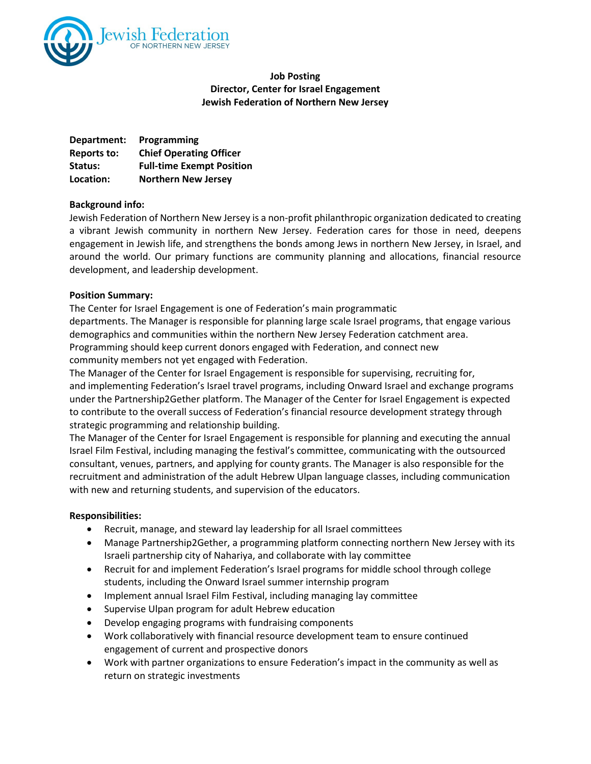

# **Job Posting Director, Center for Israel Engagement Jewish Federation of Northern New Jersey**

| Department: | Programming                      |
|-------------|----------------------------------|
| Reports to: | <b>Chief Operating Officer</b>   |
| Status:     | <b>Full-time Exempt Position</b> |
| Location:   | <b>Northern New Jersey</b>       |

## **Background info:**

Jewish Federation of Northern New Jersey is a non-profit philanthropic organization dedicated to creating a vibrant Jewish community in northern New Jersey. Federation cares for those in need, deepens engagement in Jewish life, and strengthens the bonds among Jews in northern New Jersey, in Israel, and around the world. Our primary functions are community planning and allocations, financial resource development, and leadership development.

#### **Position Summary:**

The Center for Israel Engagement is one of Federation's main programmatic departments. The Manager is responsible for planning large scale Israel programs, that engage various demographics and communities within the northern New Jersey Federation catchment area. Programming should keep current donors engaged with Federation, and connect new community members not yet engaged with Federation.

The Manager of the Center for Israel Engagement is responsible for supervising, recruiting for, and implementing Federation's Israel travel programs, including Onward Israel and exchange programs under the Partnership2Gether platform. The Manager of the Center for Israel Engagement is expected to contribute to the overall success of Federation's financial resource development strategy through strategic programming and relationship building.

The Manager of the Center for Israel Engagement is responsible for planning and executing the annual Israel Film Festival, including managing the festival's committee, communicating with the outsourced consultant, venues, partners, and applying for county grants. The Manager is also responsible for the recruitment and administration of the adult Hebrew Ulpan language classes, including communication with new and returning students, and supervision of the educators.

## **Responsibilities:**

- Recruit, manage, and steward lay leadership for all Israel committees
- Manage Partnership2Gether, a programming platform connecting northern New Jersey with its Israeli partnership city of Nahariya, and collaborate with lay committee
- Recruit for and implement Federation's Israel programs for middle school through college students, including the Onward Israel summer internship program
- Implement annual Israel Film Festival, including managing lay committee
- Supervise Ulpan program for adult Hebrew education
- Develop engaging programs with fundraising components
- Work collaboratively with financial resource development team to ensure continued engagement of current and prospective donors
- Work with partner organizations to ensure Federation's impact in the community as well as return on strategic investments